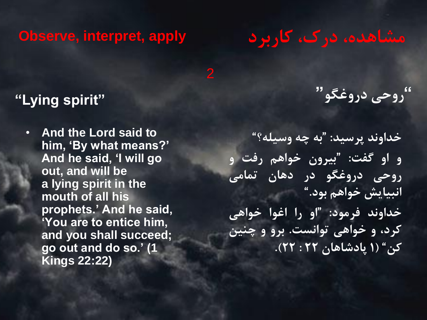# **Observe, interpret, apply**

# **مشاهده، درک، کاربرد**

# **"Lying spirit"**

• **And the Lord said to him, 'By what means?' And he said, 'I will go out, and will be a lying spirit in the mouth of all his prophets.' And he said, 'You are to entice him, and you shall succeed; go out and do so.' (1 Kings 22:22)**

**"روحی دروغگو"**

**"به چه وسیله؟" خداوند پرسید: بیرون خواهم رفت و " و او گفت: روحی دروغگو در دهان تمامی انبیایش خواهم بود." "او را اغوا خواهی خداوند فرمود: کرد، و خواهی توانست. برو و چنین کن" )1 پادشاهان 22 : 22(.**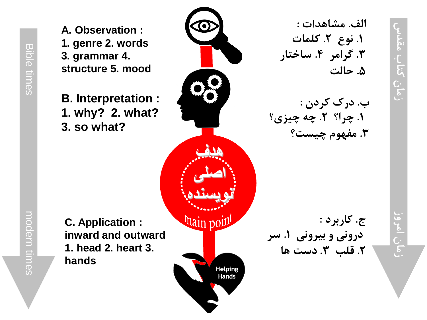**A. Observation : 1. genre 2. words 3. grammar 4. structure 5. mood**

> **B. Interpretation : 1. why? 2. what? 3. so what?**

> > **هدف**

 **اصلی**

**نویسنده**

**hain point** 

**Helping Hands** 

**الف. مشاهدات : . کلمات . نوع 2 1 . ساختار . گرامر 4 3 . حالت 5**

**. درک کردن : ب . چه چیزی؟ . چرا؟ 2 1 . مفهوم چیست؟ 3**

**. کاربرد : ج . سر درونی و بیرونی 1 . دست ها . قلب 3 2**

**C. Application : inward and outward 1. head 2. heart 3. hands**

Bible times modern times

 $rac{1}{\sqrt{2}}$ 

 $\overline{\sigma}$ 

times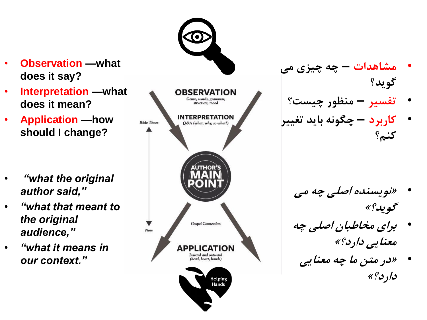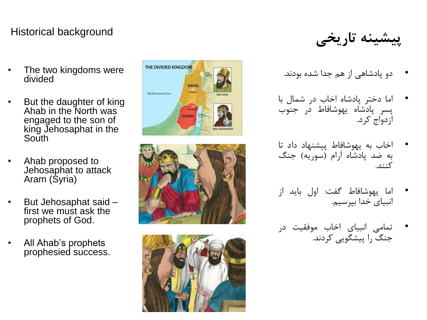### Historical background

The two kingdoms were divided

- But the daughter of king Ahab in the North was engaged to the son of king Jehosaphat in the South
- Ahab proposed to Jehosaphat to attack Aram (Syria)
- But Jehosaphat said first we must ask the prophets of God.
- All Ahab's prophets prophesied success.



- دو پادشاهی از هم جدا شده بودند.•
- اما دختر پادشاه اخاب در شمال با • پسر پادشاه یهوشافاط در جنوب<br>ازدواج کرد.
- اخاب به یهوشافاط پیشنهاد داد تا • به ضد پادشاه ارام (سوریه) جنگ<br>کنند.
- اما یهوشافاط گفت: اول باید از انبیای خدا بپرسیم. •
- تمامی انبیای اخاب موفقیت در جنگ را پیشگویی کردند. •





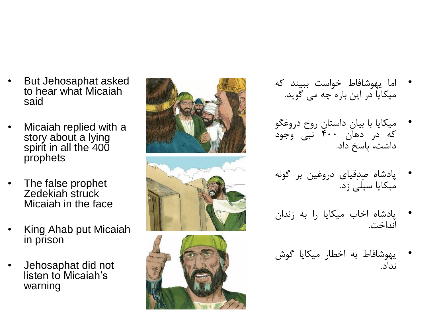- But Jehosaphat asked to hear what Micaiah said
- Micaiah replied with a story about a lying spirit in all the 400 prophets
- The false prophet Zedekiah struck Micaiah in the face
- King Ahab put Micaiah in prison
- Jehosaphat did not listen to Micaiah's warning



- اما یهوشافاط خواست ببیند که میکایا در این باره چه می گوید. •
- میکایا با بیان داستان روح دروغگو • که در دهان ۴۰۰ نبی وجود<br>داشت، پاسخ داد.
- پادشاه صِدِقیای دروغین بر گونه میکایا سیلی زد. •
- پادشاه اخاب میکایا را به زندان انداخت. •
- یهوشافاط به اخطار میکایا گوش نداد. •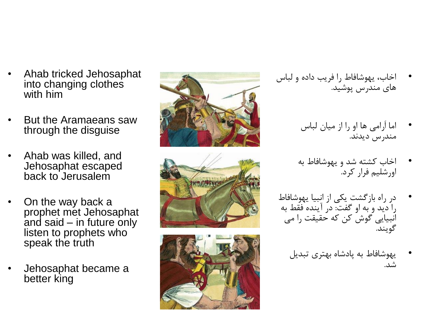- اخاب، یهوشافاط را فریب داده و لباس های مندرس پوشید.
	- اما اَرامی ها او را از میان لباس مندرس دیدند. •
	- اخاب کشته شد و یهوشافاط به اورشلیم فرار کرد. •
	- در راه بازگشت یکی از انبیا یهوشافاط • را دید و به او گفت: در آینده فقط به انبیایی گوش کن که حقیقت را می<br>گویند.
		- یهوشافاط به پادشاه بهتری تبدیل شد. •







- Ahab tricked Jehosaphat into changing clothes with him
- But the Aramaeans saw through the disguise
- Ahab was killed, and Jehosaphat escaped back to Jerusalem
- On the way back a prophet met Jehosaphat and said – in future only listen to prophets who speak the truth
- Jehosaphat became a better king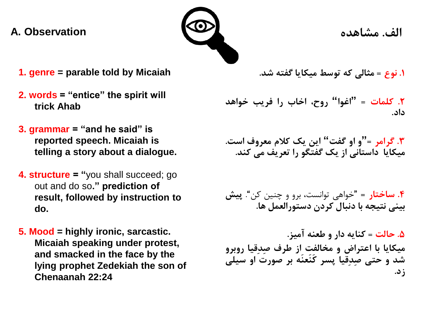#### **الف. مشاهده Observation .A**



- **1. genre = parable told by Micaiah**
- **2. words = "entice" the spirit will trick Ahab**
- **3. grammar = "and he said" is reported speech. Micaiah is telling a story about a dialogue.**
- **4. structure = "**you shall succeed; go out and do so**." prediction of result, followed by instruction to do.**
- **5. Mood = highly ironic, sarcastic. Micaiah speaking under protest, and smacked in the face by the lying prophet Zedekiah the son of Chenaanah 22:24**

**.1 نوع = مثالی که توسط میکایا گفته شد.**

**روح، اخاب را فریب خواهد .2 کلمات = "اغوا" داد.**

**و او گفت" این یک کالم معروف است. .3 گرامر =" میکایا داستانی از یک گفتگو را تعریف می کند.**

**.4 ساختار =** "خواهی توانست، برو و چنین کن". **پیش بینی نتیجه با دنبال کردن دستورالعمل ها.**

**.5 حالت = کنایه دار و طعنه آمیز. میکایا با اعتراض و مخالفت از طرف صِدِقیا روبرو شد و حتی صِدِقیا پسر کَنَعنَه بر صورت او سیلی زد.**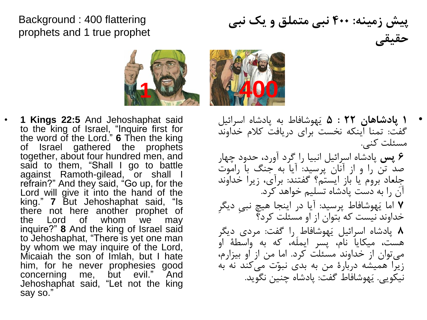### Background : 400 flattering prophets and 1 true prophet

**پیش زمینه: 400 نبی متملق و یک نبی حقیقی**

مسئلت کنی.



- **1 Kings 22:5** And Jehoshaphat said to the king of Israel, "Inquire first for the word of the Lord." **6** Then the king of Israel gathered the prophets together, about four hundred men, and said to them, "Shall I go to battle against Ramoth-gilead, or shall refrain?" And they said, "Go up, for the Lord will give it into the hand of the king." **7** But Jehoshaphat said, "Is there not here another prophet of the Lord of whom we may inquire?" **8** And the king of Israel said to Jehoshaphat, "There is yet one man by whom we may inquire of the Lord, Micaiah the son of Imlah, but I hate him, for he never prophesies good concerning me, but evil." And Jehoshaphat said, "Let not the king say so."
- **1 پادشاهان 22 : 5** یَهوشافاط به پادشاه اسرائیل گفت: تمنا اینکه نخست برای دریافت کالم خداوند **6 پس** پادشاه اسرائیل انبیا را گرد آورد، حدود چهار
- صد تن را و از آنان پرسید: آیا به جنگ با راموت جِلعاد بروم یا باز ایستم؟ گفتند: برآی، زیرا خداوند آن را به دست پادشاه تسلیم خواهد کرد. **7** اما یَهوشافاط پرسید: آیا در اینجا هیچ نبیِ دیگرِ خداوند نیست که بتوان از او مسئلت کرد؟ **8** پادشاه اسرائیل یَهوشافاط را گفت: مردی دیگر هست، میکایا نام، پسر ایملَه، که به واسطۀ او می توان از خداوند مسئلت کرد. اما من از او بیزارم، زیرا همیشه دربارۀ من به بدی نبوّت می کند نه به نیکویی. یَهوشافاط گفت: پادشاه چنین نگوید.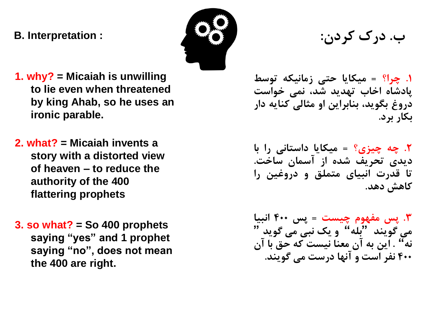### **ب. درک کردن: : Interpretation .B**



- **1. why? = Micaiah is unwilling to lie even when threatened by king Ahab, so he uses an ironic parable.**
- **2. what? = Micaiah invents a story with a distorted view of heaven – to reduce the authority of the 400 flattering prophets**
- **3. so what? = So 400 prophets saying "yes" and 1 prophet saying "no", does not mean the 400 are right.**

**.1 چرا؟ = میکایا حتی زمانیکه توسط پادشاه اخاب تهدید شد، نمی خواست دروغ بگوید، بنابراین او مثالی کنایه دار بکار برد.**

**.2 چه چیزی؟ = میکایا داستانی را با دیدی تحریف شده از آسمان ساخت. تا قدرت انبیای متملق و دروغین را کاهش دهد.**

**.3 پس مفهوم چیست = پس 400 انبیا و یک نبی می گوید " می گویند "بله" نه" . این به آن معنا نیست که حق با آن 400 نفر است و آنها درست می گویند.**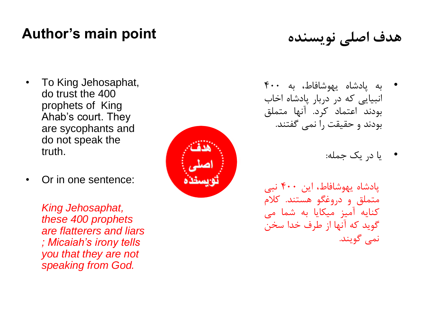# **Author's main point نویسنده اصلی هدف**

- To King Jehosaphat, do trust the 400 prophets of King Ahab's court. They are sycophants and do not speak the truth.
- Or in one sentence:

*King Jehosaphat, these 400 prophets are flatterers and liars ; Micaiah's irony tells you that they are not speaking from God.*



- به پادشاه یهوشافاط، به 400 انبیایی که در دربار پادشاه اخاب<br>بودند اعتماد کرد. آنها متملق بودند و حقیقت را نمی گفتند.<br>یا در یک جمله:
	- •

پادشاه یهوشافاط، این 400 نبی متملق و دروغگو هستند. کلام کنایه آمیز میکایا به شما می گوید که آنها از طرف خدا سخن<br>نمی گویند.